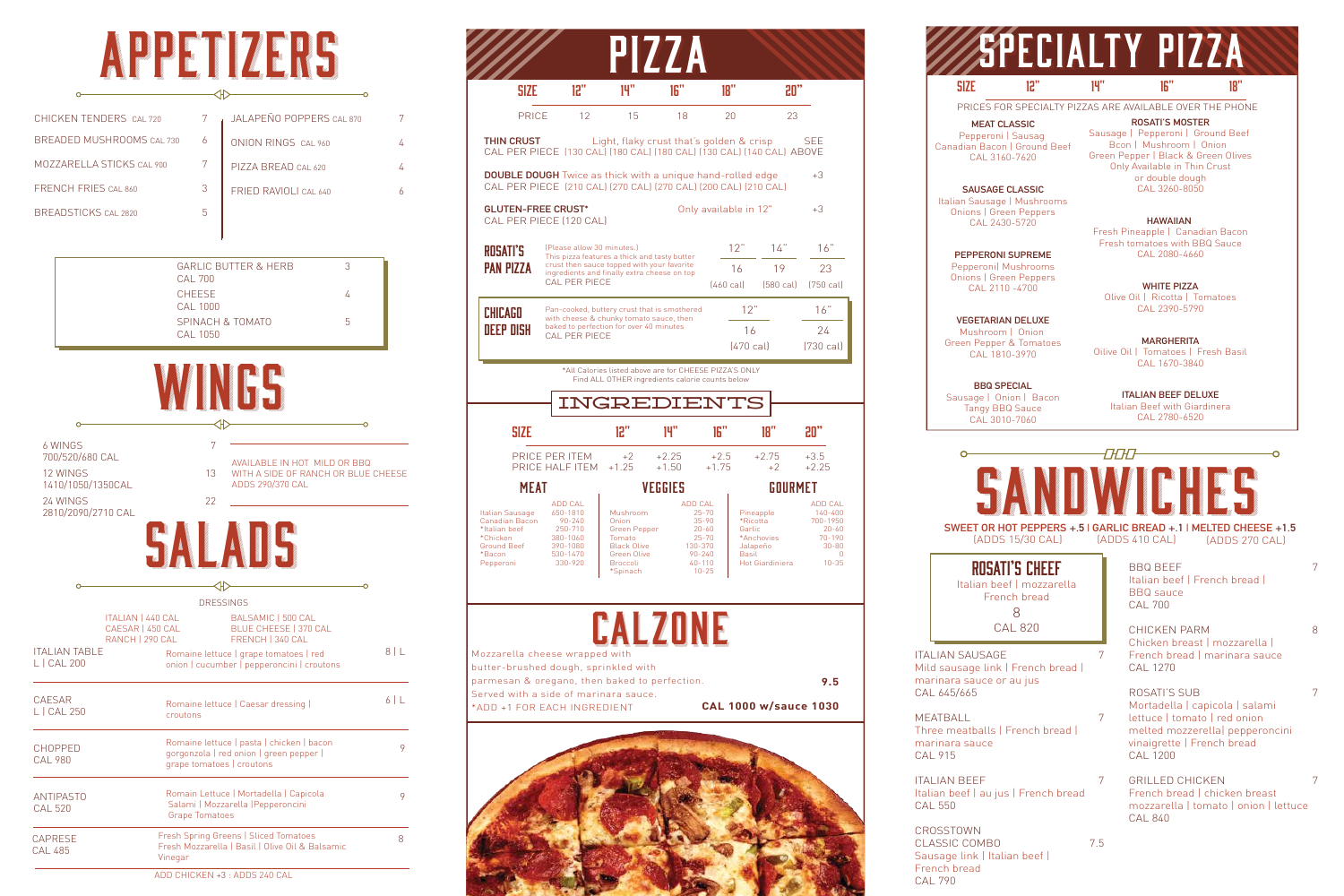# APPETIZERS

| CHICKEN TENDERS CAL 720     | JALAPEÑO POPPERS CAL 870 |  |
|-----------------------------|--------------------------|--|
| BREADED MUSHROOMS CAL 730   | ONION RINGS CAL 960      |  |
| MOZZARELLA STICKS CAL 900   | PIZZA BREAD CAL 620      |  |
| FRENCH FRIES CAL 860        | FRIED RAVIOLI CAL 640    |  |
| <b>BREADSTICKS CAL 2820</b> |                          |  |

| <b>GARLIC BUTTER &amp; HERB</b><br>CAI 700 |   |
|--------------------------------------------|---|
| <b>CHEESE</b><br>CAI 1000                  |   |
| SPINACH & TOMATO<br>CAL 1050               | h |

| <b>6 WINGS</b><br>700/520/680 CAL<br>12 WINGS<br>1410/1050/1350CAL<br>24 WINGS<br>2810/2090/2710 CAL   | 7<br>13<br>22 | AVAILABLE IN HOT MILD OR BBQ<br>WITH A SIDE OF RANCH OR BLUE CHEESE<br>ADDS 290/370 CAL                                                                        |     |
|--------------------------------------------------------------------------------------------------------|---------------|----------------------------------------------------------------------------------------------------------------------------------------------------------------|-----|
|                                                                                                        |               |                                                                                                                                                                |     |
|                                                                                                        |               | <b>DRESSINGS</b>                                                                                                                                               |     |
| <b>ITALIAN   440 CAL</b><br>CAESAR   450 CAL<br>RANCH   290 CAL<br><b>ITALIAN TABLE</b><br>L   CAL 200 |               | BALSAMIC   500 CAL<br><b>BLUE CHEESE   370 CAL</b><br>FRENCH   340 CAL<br>Romaine lettuce   grape tomatoes   red<br>onion   cucumber   pepperoncini   croutons | 8 L |
| <b>CAESAR</b><br>L   CAL 250                                                                           | croutons      | Romaine lettuce   Caesar dressing                                                                                                                              | 6 L |
|                                                                                                        |               | Denesiae Islande Lassel et Skielde Hassen                                                                                                                      |     |

 $L$  | CAL

L | CAL

| <b>CHOPPED</b><br><b>CAL 980</b>   | Romaine lettuce   pasta   chicken   bacon<br>gorgonzola   red onion   green pepper  <br>grape tomatoes   croutons |  |
|------------------------------------|-------------------------------------------------------------------------------------------------------------------|--|
| <b>ANTIPASTO</b><br><b>CAL 520</b> | Romain Lettuce   Mortadella   Capicola<br>Salami   Mozzarella   Pepperoncini<br><b>Grape Tomatoes</b>             |  |
| CAPRESE<br>CAL 485                 | Fresh Spring Greens   Sliced Tomatoes<br>Fresh Mozzarella   Basil   Olive Oil & Balsamic<br>Vinegar               |  |
|                                    | ADD CHICKEN +3: ADDS 240 CAL                                                                                      |  |

ITALIAN SAUSAGE 7 Mild sausage link | French bread | marinara sauce or au jus CAL 645/665

MEATBALL 7 Three meatballs | French bread | marinara sauce CAL 915

ITALIAN BEEF 7 Italian beef | au jus | French bread CAL 550

BBQ BEEF 7 Italian beef | French bread | BBQ sauce CAL 700

CHICKEN PARM 8 Chicken breast | mozzarella | French bread | marinara sauce CAL 1270

ROSATI'S SUB 7 Mortadella | capicola | salami lettuce | tomato | red onion melted mozzerella| pepperoncini vinaigrette | French bread CAL 1200

GRILLED CHICKEN 7 French bread | chicken breast mozzarella | tomato | onion | lettuce CAL 840

## **ECIALTY PIZZA** SIZE 12" 14" 16" 18"

| 12"<br>14"<br>16"<br>18"<br>20"<br><b>SIZE</b><br>12<br>23<br>PRICE<br>15<br>18<br>20<br><b>THIN CRUST</b><br>Light, flaky crust that's golden & crisp<br>SEE<br>CAL PER PIECE (130 CAL) (180 CAL) (180 CAL) (130 CAL) (140 CAL) ABOVE<br><b>DOUBLE DOUGH</b> Twice as thick with a unique hand-rolled edge<br>+3<br>CAL PER PIECE [210 CAL] [270 CAL] [270 CAL] [200 CAL] [210 CAL]<br><b>GLUTEN-FREE CRUST*</b><br>Only available in 12"<br>+3<br>CAL PER PIECE (120 CAL)<br>12"<br>14"<br>16"<br>(Please allow 30 minutes.)<br>ROSATI'S<br>This pizza features a thick and tasty butter<br>crust then sauce topped with your favorite<br><b>PAN PIZZA</b><br>16<br>19<br>23<br>ingredients and finally extra cheese on top<br><b>CAL PER PIECE</b><br>[460 cal]<br>$(750 \text{ cal})$<br>$(580 \text{ cal})$<br>12"<br>16"<br>Pan-cooked, buttery crust that is smothered<br>CHICAGO<br>with cheese & chunky tomato sauce, then<br>baked to perfection for over 40 minutes<br><b>DEEP DISH</b><br>16<br>24<br><b>CAL PER PIECE</b><br>$(470 \text{ cal})$<br>$(730 \text{ cal})$<br>*All Calories listed above are for CHEESE PIZZA'S ONLY<br>Find ALL OTHER ingredients calorie counts below<br>INGREDIENTS<br>16"<br>12"<br>14"<br>18"<br><b>SIZE</b><br>20"<br>PRICE PER ITEM<br>$+2$<br>$+2.25$<br>$+2.5$<br>$+2.75$<br>$+3.5$<br>PRICE HALF ITEM<br>$+1.25$<br>$+1.50$<br>$+1.75$<br>$+2.25$<br>$+2$<br><b>MEAT</b><br>VEGGIES<br>IURMET<br><b>ADD CAL</b><br><b>ADD CAL</b><br>ADD CAL<br>650-1810<br>Mushroom<br>$25 - 70$<br>Pineapple<br>140-400<br>Italian Sausage<br>Canadian Bacon<br>90-240<br>Onion<br>$35 - 90$<br>*Ricotta<br>700-1950<br>*Italian beef<br>250-710<br>Green Pepper<br>$20 - 60$<br>Garlic<br>$20 - 60$<br>$25 - 70$<br>$70 - 190$<br>*Chicken<br>380-1060<br>Tomato<br>*Anchovies<br>Ground Beef<br>390-1080<br><b>Black Olive</b><br>130-370<br>Jalapeño<br>$30 - 80$<br>*Bacon<br>530-1470<br>Green Olive<br>$90 - 240$<br><b>Basil</b><br>$\mathbf{0}$<br>330-920<br>$40 - 110$<br><b>Hot Giardiniera</b><br>$10 - 35$<br>Pepperoni<br><b>Broccoli</b><br>$10 - 25$<br>*Spinach |  | HIZZA |  |  |
|------------------------------------------------------------------------------------------------------------------------------------------------------------------------------------------------------------------------------------------------------------------------------------------------------------------------------------------------------------------------------------------------------------------------------------------------------------------------------------------------------------------------------------------------------------------------------------------------------------------------------------------------------------------------------------------------------------------------------------------------------------------------------------------------------------------------------------------------------------------------------------------------------------------------------------------------------------------------------------------------------------------------------------------------------------------------------------------------------------------------------------------------------------------------------------------------------------------------------------------------------------------------------------------------------------------------------------------------------------------------------------------------------------------------------------------------------------------------------------------------------------------------------------------------------------------------------------------------------------------------------------------------------------------------------------------------------------------------------------------------------------------------------------------------------------------------------------------------------------------------------------------------------------------------------------------------------------------------------------------------------------------------------------------------------------------------------------------------------------------------|--|-------|--|--|
|                                                                                                                                                                                                                                                                                                                                                                                                                                                                                                                                                                                                                                                                                                                                                                                                                                                                                                                                                                                                                                                                                                                                                                                                                                                                                                                                                                                                                                                                                                                                                                                                                                                                                                                                                                                                                                                                                                                                                                                                                                                                                                                        |  |       |  |  |
|                                                                                                                                                                                                                                                                                                                                                                                                                                                                                                                                                                                                                                                                                                                                                                                                                                                                                                                                                                                                                                                                                                                                                                                                                                                                                                                                                                                                                                                                                                                                                                                                                                                                                                                                                                                                                                                                                                                                                                                                                                                                                                                        |  |       |  |  |
|                                                                                                                                                                                                                                                                                                                                                                                                                                                                                                                                                                                                                                                                                                                                                                                                                                                                                                                                                                                                                                                                                                                                                                                                                                                                                                                                                                                                                                                                                                                                                                                                                                                                                                                                                                                                                                                                                                                                                                                                                                                                                                                        |  |       |  |  |
|                                                                                                                                                                                                                                                                                                                                                                                                                                                                                                                                                                                                                                                                                                                                                                                                                                                                                                                                                                                                                                                                                                                                                                                                                                                                                                                                                                                                                                                                                                                                                                                                                                                                                                                                                                                                                                                                                                                                                                                                                                                                                                                        |  |       |  |  |
|                                                                                                                                                                                                                                                                                                                                                                                                                                                                                                                                                                                                                                                                                                                                                                                                                                                                                                                                                                                                                                                                                                                                                                                                                                                                                                                                                                                                                                                                                                                                                                                                                                                                                                                                                                                                                                                                                                                                                                                                                                                                                                                        |  |       |  |  |
|                                                                                                                                                                                                                                                                                                                                                                                                                                                                                                                                                                                                                                                                                                                                                                                                                                                                                                                                                                                                                                                                                                                                                                                                                                                                                                                                                                                                                                                                                                                                                                                                                                                                                                                                                                                                                                                                                                                                                                                                                                                                                                                        |  |       |  |  |
|                                                                                                                                                                                                                                                                                                                                                                                                                                                                                                                                                                                                                                                                                                                                                                                                                                                                                                                                                                                                                                                                                                                                                                                                                                                                                                                                                                                                                                                                                                                                                                                                                                                                                                                                                                                                                                                                                                                                                                                                                                                                                                                        |  |       |  |  |
|                                                                                                                                                                                                                                                                                                                                                                                                                                                                                                                                                                                                                                                                                                                                                                                                                                                                                                                                                                                                                                                                                                                                                                                                                                                                                                                                                                                                                                                                                                                                                                                                                                                                                                                                                                                                                                                                                                                                                                                                                                                                                                                        |  |       |  |  |
|                                                                                                                                                                                                                                                                                                                                                                                                                                                                                                                                                                                                                                                                                                                                                                                                                                                                                                                                                                                                                                                                                                                                                                                                                                                                                                                                                                                                                                                                                                                                                                                                                                                                                                                                                                                                                                                                                                                                                                                                                                                                                                                        |  |       |  |  |
|                                                                                                                                                                                                                                                                                                                                                                                                                                                                                                                                                                                                                                                                                                                                                                                                                                                                                                                                                                                                                                                                                                                                                                                                                                                                                                                                                                                                                                                                                                                                                                                                                                                                                                                                                                                                                                                                                                                                                                                                                                                                                                                        |  |       |  |  |
|                                                                                                                                                                                                                                                                                                                                                                                                                                                                                                                                                                                                                                                                                                                                                                                                                                                                                                                                                                                                                                                                                                                                                                                                                                                                                                                                                                                                                                                                                                                                                                                                                                                                                                                                                                                                                                                                                                                                                                                                                                                                                                                        |  |       |  |  |
|                                                                                                                                                                                                                                                                                                                                                                                                                                                                                                                                                                                                                                                                                                                                                                                                                                                                                                                                                                                                                                                                                                                                                                                                                                                                                                                                                                                                                                                                                                                                                                                                                                                                                                                                                                                                                                                                                                                                                                                                                                                                                                                        |  |       |  |  |
|                                                                                                                                                                                                                                                                                                                                                                                                                                                                                                                                                                                                                                                                                                                                                                                                                                                                                                                                                                                                                                                                                                                                                                                                                                                                                                                                                                                                                                                                                                                                                                                                                                                                                                                                                                                                                                                                                                                                                                                                                                                                                                                        |  |       |  |  |
|                                                                                                                                                                                                                                                                                                                                                                                                                                                                                                                                                                                                                                                                                                                                                                                                                                                                                                                                                                                                                                                                                                                                                                                                                                                                                                                                                                                                                                                                                                                                                                                                                                                                                                                                                                                                                                                                                                                                                                                                                                                                                                                        |  |       |  |  |
|                                                                                                                                                                                                                                                                                                                                                                                                                                                                                                                                                                                                                                                                                                                                                                                                                                                                                                                                                                                                                                                                                                                                                                                                                                                                                                                                                                                                                                                                                                                                                                                                                                                                                                                                                                                                                                                                                                                                                                                                                                                                                                                        |  |       |  |  |

**D'ALD J** 



CROSSTOWN CLASSIC COMBO 7.5 Sausage link | Italian beef | French bread CAL 790

Rosati's cheef Italian beef | mozzarella

French bread

8 CAL 820

PRICES FOR SPECIALTY PIZZAS ARE AVAILABLE OVER THE PHONE

**MEAT CLASSIC** Pepperoni | Sausag Canadian Bacon | Ground Beef CAL 3160-7620

**SAUSAGE CLASSIC** Italian Sausage | Mushrooms Onions | Green Peppers CAL 2430-5720

**PEPPERONI SUPREME** Pepperoni| Mushrooms Onions | Green Peppers CAL 2110 -4700

**VEGETARIAN DELUXE** Mushroom | Onion Green Pepper & Tomatoes CAL 1810-3970

**BBQ SPECIAL** Sausage | Onion | Bacon Tangy BBQ Sauce CAL 3010-7060

**ROSATI'S MOSTER** Sausage | Pepperoni | Ground Beef Bcon | Mushroom | Onion Green Pepper | Black & Green Olives Only Available in Thin Crust or double dough CAL 3260-8050

**HAWAIIAN**  Fresh Pineapple | Canadian Bacon Fresh tomatoes with BBQ Sauce CAL 2080-4660

**WHITE PIZZA** Olive Oil | Ricotta | Tomatoes CAL 2390-5790

**MARGHERITA** Oilive Oil | Tomatoes | Fresh Basil CAL 1670-3840

> **ITALIAN BEEF DELUXE** Italian Beef with Giardinera CAL 2780-6520